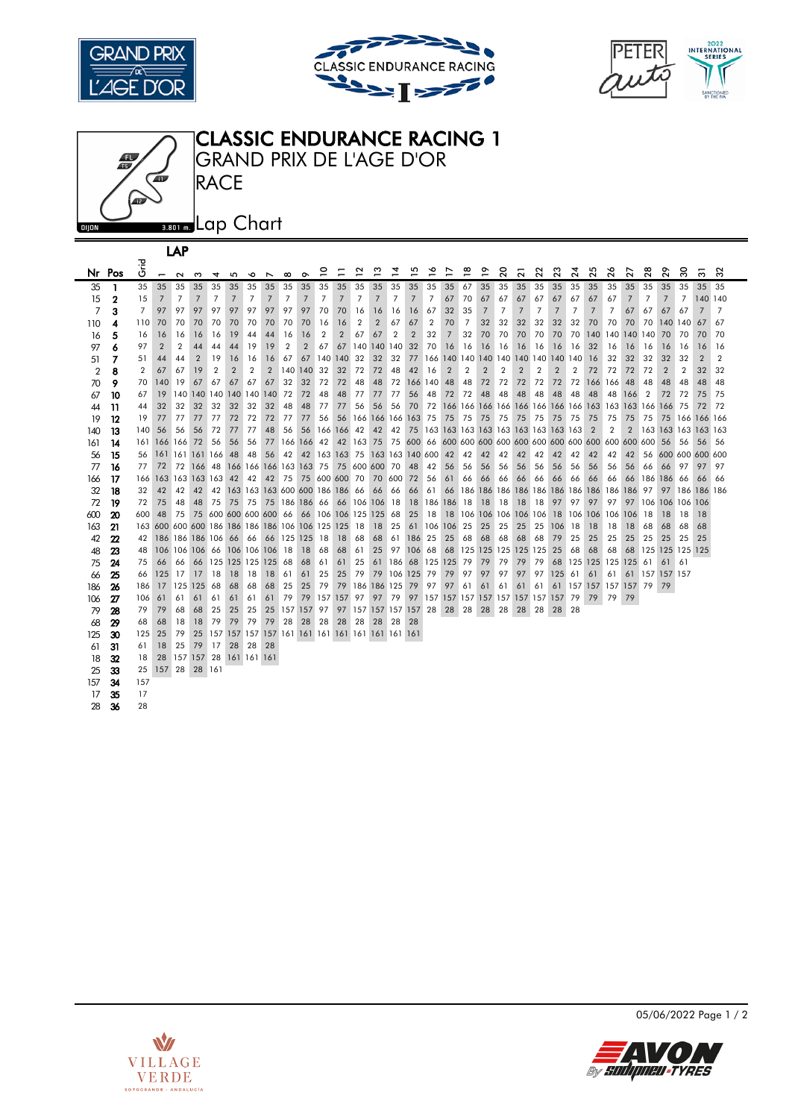







|     |        |                |                | LAP                                            |                |                                             |                |                                                 |                |                |                |                |                |                |                               |                |                |                                        |                |    |                                     |                |                |                |                |                 |         |                    |                       |     |                |                 |                |                |
|-----|--------|----------------|----------------|------------------------------------------------|----------------|---------------------------------------------|----------------|-------------------------------------------------|----------------|----------------|----------------|----------------|----------------|----------------|-------------------------------|----------------|----------------|----------------------------------------|----------------|----|-------------------------------------|----------------|----------------|----------------|----------------|-----------------|---------|--------------------|-----------------------|-----|----------------|-----------------|----------------|----------------|
|     | Nr Pos | ہے۔<br>ق       | $\overline{ }$ | $\sim$                                         | ω              | 4                                           | 5              | ∾                                               | $\overline{ }$ | $\infty$       | ᡐ              | ₽              | Ξ              | 2              | ొ                             | $\overline{4}$ | 은              | ⋍                                      | ₽              | ≌  | ᡐ<br>$\overline{\phantom{0}}$       | $\overline{c}$ | $\overline{2}$ | $\overline{c}$ | 23             | $\overline{24}$ | 25      | 26                 | 27                    | 28  | ଛ              | ౢ               | ్ల             | న              |
| 35  |        | 35             | 35             | 35                                             | 35             | 35                                          | 35             | 35                                              | 35             | 35             | 35             | 35             | 35             | 35             | 35                            | 35             | 35             | 35                                     | 35             | 67 | 35                                  | 35             | 35             | 35             | 35             | 35              | 35      | 35                 | 35                    | 35  | 35             | 35              | 35             | 35             |
| 15  | 2      | 15             | 7              | 7                                              | $\overline{7}$ | 7                                           | $\overline{7}$ | 7                                               | $\overline{7}$ | 7              | $\overline{7}$ | 7              | 7              | 7              | 7                             | 7              | 7              | 7                                      | 67             | 70 | 67                                  | 67             | 67             | 67             | 67             | 67              | 67      | 67                 | 7                     | 7   | 7              | 7               | 140 140        |                |
| 7   | 3      | $\overline{7}$ | 97             | 97                                             | 97             | 97                                          | 97             | 97                                              | 97             | 97             | 97             | 70             | 70             | 16             | 16                            | 16             | 16             | 67                                     | 32             | 35 | $\overline{7}$                      | 7              | 7              | 7              | 7              | 7               | 7       | $\overline{7}$     | 67                    | 67  | 67             | 67              | $\overline{7}$ | $\overline{7}$ |
| 110 | 4      | 110            | 70             | 70                                             | 70             | 70                                          | 70             | 70                                              | 70             | 70             | 70             | 16             | 16             | $\overline{2}$ | $\overline{2}$                | 67             | 67             | $\overline{2}$                         | 70             | 7  | 32                                  | 32             | 32             | 32             | 32             | 32              | 70      | 70                 | 70                    | 70  | 140            | 140             | 67             | 67             |
| 16  | 5      | 16             | 16             | 16                                             | 16             | 16                                          | 19             | 44                                              | 44             | 16             | 16             | $\overline{2}$ | $\overline{2}$ | 67             | 67                            | $\overline{2}$ | $\overline{2}$ | 32                                     | $\overline{7}$ | 32 | 70                                  | 70             | 70             | 70             | 70             | 70              |         | 140 140            | 140                   | 140 | 70             | 70              | 70             | 70             |
| 97  | 6      | 97             | $\overline{2}$ | $\overline{2}$                                 | 44             | 44                                          | 44             | 19                                              | 19             | $\overline{2}$ | $\overline{2}$ | 67             | 67             |                | 140 140 140                   |                | 32             | 70                                     | 16             | 16 | 16                                  | 16             | 16             | 16             | 16             | 16              | 32      | 16                 | 16                    | 16  | 16             | 16              | 16             | 16             |
| 51  | 7      | 51             | 44             | 44                                             | $\overline{2}$ | 19                                          | 16             | 16                                              | 16             | 67             | 67             |                | 140 140        | 32             | 32                            | 32             |                | 77 166 140 140 140 140                 |                |    |                                     |                | 140 140        |                | 140 140        |                 | 16      | 32                 | 32                    | 32  | 32             | 32              | $\overline{2}$ | $\overline{2}$ |
| 2   | 8      | 2              | 67             | 67                                             | 19             | $\overline{2}$                              | $\overline{2}$ | $\overline{2}$                                  | $\overline{2}$ |                | 140 140        | 32             | 32             | 72             | 72                            | 48             | 42             | 16                                     | $\overline{2}$ | 2  | $\overline{2}$                      | 2              | $\overline{2}$ | $\overline{2}$ | $\overline{2}$ | 2               | 72      | 72                 | 72                    | 72  | $\overline{2}$ | 2               | 32             | 32             |
| 70  | 9      | 70             | 140            | 19                                             | 67             | 67                                          | 67             | 67                                              | 67             | 32             | 32             | 72             | 72             | 48             | 48                            | 72             | 166 140        |                                        | 48             | 48 | 72                                  | 72             | 72             | 72             | 72             | 72              | 166 166 |                    | 48                    | 48  | 48             | 48              | 48             | 48             |
| 67  | 10     | 67             | 19             |                                                |                | 140 140 140 140 140 140                     |                |                                                 |                | 72             | 72             | 48             | 48             | 77             | 77                            | 77             | 56             | 48                                     | 72             | 72 | 48                                  | 48             | 48             | 48             | 48             | 48              | 48      | 48                 | 166                   | 2   | 72             | 72              | 75             | 75             |
| 44  | 11     | 44             | 32             | 32                                             | 32             | 32                                          | 32             | 32                                              | 32             | 48             | 48             | 77             | 77             | 56             | 56                            | 56             | 70             | 72                                     |                |    |                                     |                |                |                |                |                 |         |                    |                       |     | 166            | 75              | 72             | 72             |
| 19  | 12     | 19             | 77             | 77                                             | 77             | 77                                          | 72             | 72                                              | 72             | 77             | 77             | 56             | 56             |                | 166 166 166 163 75            |                |                |                                        | 75             | 75 | 75                                  | 75             | 75             | 75             | 75             | 75              | 75      | 75                 | 75                    | 75  | 75             | 166             | 166 166        |                |
| 140 | 13     | 140            | 56             | 56                                             | 56             | 72                                          | 77             | 77                                              | 48             | 56             | 56             |                | 166 166 42     |                | 42                            | 42             |                | 75 163 163 163 163 163 163 163 163 163 |                |    |                                     |                |                |                |                |                 | 2       | 2                  | $\overline{2}$        |     | 163 163 163    |                 | 163 163        |                |
| 161 | 14     | 161            |                | 166 166                                        | 72             | 56                                          | 56             | 56                                              | 77             |                | 166 166 42     |                |                | 42 163 75      |                               |                |                |                                        |                |    |                                     |                |                |                |                |                 |         |                    |                       |     | 56             | 56              | 56             | 56             |
| 56  | 15     | 56             |                | 161 161 161 166                                |                |                                             | 48             | 48                                              | 56             | 42             |                |                |                |                | 42 163 163 75 163 163 140 600 |                |                |                                        | 42             | 42 | 42                                  | 42             | 42             | 42             | 42             | 42              | 42      | 42                 | 42                    | 56  |                | 600 600 600 600 |                |                |
| 77  | 16     | 77             | 72             |                                                |                | 72 166 48 166 166 166 163 163 75            |                |                                                 |                |                |                |                |                |                | 75 600 600 70                 |                | 48             | 42                                     | 56             | 56 | 56                                  | 56             | 56             | 56             | 56             | 56              | 56      | 56                 | 56                    | 66  | 66             | 97              | 97             | 97             |
| 166 | 17     | 166            |                | 163 163 163 163                                |                |                                             | 42             | 42                                              | 42             | 75             |                |                | 75 600 600 70  |                | 70                            | 600            | -72            | 56                                     | 61             | 66 | 66                                  | 66             | 66             | 66             | 66             | 66              | 66      | 66                 | 66                    |     | 186 186        | 66              | 66             | 66             |
| 32  | 18     | 32             | 42             | 42                                             | 42             | 42                                          |                | 163 163 163 600 600 186 186 66                  |                |                |                |                |                |                | 66                            | 66             | 66             | 61                                     | 66             |    | 186 186 186 186 186 186 186 186 186 |                |                |                |                |                 |         |                    | 186                   | 97  | 97             | 186             | 186 186        |                |
| 72  | 19     | 72             | 75             | 48                                             | 48             | 75                                          |                | 75 75                                           | 75 186 186 66  |                |                |                |                |                | 66 106 106 18                 |                |                | 18 186 186                             |                | 18 | 18                                  | 18             | 18             | 18             | 97             | 97              | 97      | 97                 | 97                    |     |                | 106 106 106 106 |                |                |
| 600 | 20     | 600            | 48             | 75                                             |                | 75 600 600 600 600 66 66 106 106 125 125 68 |                |                                                 |                |                |                |                |                |                |                               |                | 25             | 18                                     |                |    | 18 106 106 106 106 106              |                |                |                |                |                 |         | 18 106 106 106     | 106                   | 18  | 18             | 18              | 18             |                |
| 163 | 21     | 163            |                | 600 600 600 186 186 186 186 106 106 125 125 18 |                |                                             |                |                                                 |                |                |                |                |                |                | 18                            | 25             | 61             | 106 106                                |                | 25 | 25                                  | 25             | 25             | 25             | 106            | 18              | 18      | 18                 | 18                    | 68  | 68             | 68              | 68             |                |
| 42  | 22     | 42             |                | 186 186 186 106 66 66                          |                |                                             |                |                                                 |                |                | 66 125 125     | 18             | 18             | 68             | 68                            | 61             | 186            | 25                                     | 25             | 68 | 68                                  | 68             | 68             | 68             | 79             | 25              | 25      | 25                 | 25                    | 25  | 25             | 25              | 25             |                |
| 48  | 23     | 48             |                | 106 106 106 66 106 106 106 18                  |                |                                             |                |                                                 |                |                | 18             | 68             | 68             | 61             | 25                            | 97             | 106            | 68                                     |                |    | 68 125 125 125 125 125              |                |                |                | 25             | 68              | 68      | 68                 | 68                    |     |                | 125 125 125 125 |                |                |
| 75  | 24     | 75             | 66             | 66                                             |                | 66 125 125 125 125 68                       |                |                                                 |                |                | 68             | 61             | 61             | 25             | 61                            |                |                | 186 68 125 125 79                      |                |    | 79                                  | 79             | 79             | 79             |                |                 |         | 68 125 125 125 125 |                       | 61  | 61             | -61             |                |                |
| 66  | 25     | 66             | 125            | 17                                             | 17             | 18                                          | 18             | 18                                              | 18             | 61             | 61             | 25             | 25             | 79             | 79                            |                | 106 125 79     |                                        | 79             | 97 | 97                                  | 97             | 97             | 97             | 125            | 61              | 61      | 61                 | 61                    |     | 157 157 157    |                 |                |                |
| 186 | 26     | 186            | 17             | 125 125                                        |                | 68                                          | 68             | 68                                              | 68             | 25             | 25             | 79             | 79             |                | 186 186 125                   |                | -79            | 97                                     | 97             | 61 | 61                                  | 61             | 61             | 61             | 61             |                 |         |                    | 157 157 157 157 79 79 |     |                |                 |                |                |
| 106 | 27     | 106            | 61             | 61                                             | 61             | 61                                          | 61             | 61                                              | 61             | 79             | 79             |                | 157 157        | 97             | 97                            | 79             | 97             | 157 157 157 157 157                    |                |    |                                     |                | 157 157 157    |                |                | 79              | 79      | 79                 | 79                    |     |                |                 |                |                |
| 79  | 28     | 79             | 79             | 68                                             | 68             | 25                                          | 25             | 25                                              | 25             |                | 157 157 97     |                | 97             |                | 157 157 157 157 28            |                |                |                                        | 28             | 28 | 28                                  | 28             | 28             | 28             | 28             | 28              |         |                    |                       |     |                |                 |                |                |
| 68  | 29     | 68             | 68             | 18                                             | 18             | 79                                          | 79             | 79                                              | 79             | 28             | 28             | 28             | 28             | 28             | 28                            | 28             | 28             |                                        |                |    |                                     |                |                |                |                |                 |         |                    |                       |     |                |                 |                |                |
| 125 | 30     | 125            | 25             | 79                                             | 25             |                                             |                | 157 157 157 157 161 161 161 161 161 161 161 161 |                |                |                |                |                |                |                               |                |                |                                        |                |    |                                     |                |                |                |                |                 |         |                    |                       |     |                |                 |                |                |
| 61  | 31     | 61             | 18             | 25                                             | 79             | 17                                          | 28             | 28                                              | 28             |                |                |                |                |                |                               |                |                |                                        |                |    |                                     |                |                |                |                |                 |         |                    |                       |     |                |                 |                |                |
| 18  | 32     | 18             | 28             | 157 157 28                                     |                |                                             |                | 161 161 161                                     |                |                |                |                |                |                |                               |                |                |                                        |                |    |                                     |                |                |                |                |                 |         |                    |                       |     |                |                 |                |                |
| 25  | 33     | 25             |                | 157 28 28 161                                  |                |                                             |                |                                                 |                |                |                |                |                |                |                               |                |                |                                        |                |    |                                     |                |                |                |                |                 |         |                    |                       |     |                |                 |                |                |
| 157 | 34     | 157            |                |                                                |                |                                             |                |                                                 |                |                |                |                |                |                |                               |                |                |                                        |                |    |                                     |                |                |                |                |                 |         |                    |                       |     |                |                 |                |                |
| 17  | 35     | 17             |                |                                                |                |                                             |                |                                                 |                |                |                |                |                |                |                               |                |                |                                        |                |    |                                     |                |                |                |                |                 |         |                    |                       |     |                |                 |                |                |
| 28  | 36     | 28             |                |                                                |                |                                             |                |                                                 |                |                |                |                |                |                |                               |                |                |                                        |                |    |                                     |                |                |                |                |                 |         |                    |                       |     |                |                 |                |                |